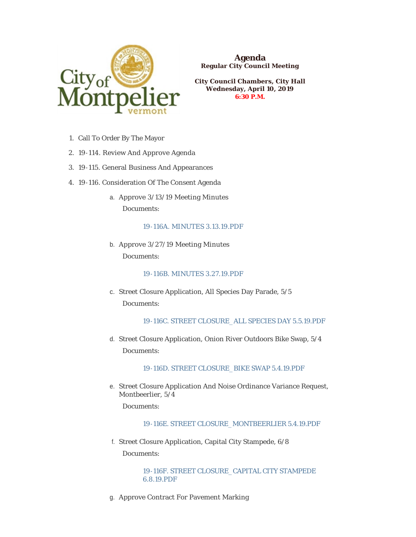

**Agenda Regular City Council Meeting**

**City Council Chambers, City Hall Wednesday, April 10, 2019 6:30 P.M.**

- 1. Call To Order By The Mayor
- 19-114. Review And Approve Agenda 2.
- 19-115. General Business And Appearances 3.
- 19-116. Consideration Of The Consent Agenda 4.
	- a. Approve 3/13/19 Meeting Minutes Documents:

### [19-116A. MINUTES 3.13.19.PDF](https://www.montpelier-vt.org/AgendaCenter/ViewFile/Item/1368?fileID=10212)

b. Approve  $3/27/19$  Meeting Minutes Documents:

# [19-116B. MINUTES 3.27.19.PDF](https://www.montpelier-vt.org/AgendaCenter/ViewFile/Item/1393?fileID=10229)

c. Street Closure Application, All Species Day Parade, 5/5 Documents:

[19-116C. STREET CLOSURE\\_ALL SPECIES DAY 5.5.19.PDF](https://www.montpelier-vt.org/AgendaCenter/ViewFile/Item/1369?fileID=10211)

d. Street Closure Application, Onion River Outdoors Bike Swap, 5/4 Documents:

[19-116D. STREET CLOSURE\\_BIKE SWAP 5.4.19.PDF](https://www.montpelier-vt.org/AgendaCenter/ViewFile/Item/1383?fileID=10216)

e. Street Closure Application And Noise Ordinance Variance Request, Montbeerlier, 5/4

Documents:

# [19-116E. STREET CLOSURE\\_MONTBEERLIER 5.4.19.PDF](https://www.montpelier-vt.org/AgendaCenter/ViewFile/Item/1385?fileID=10227)

Street Closure Application, Capital City Stampede, 6/8 f. Documents:

> [19-116F. STREET CLOSURE\\_CAPITAL CITY STAMPEDE](https://www.montpelier-vt.org/AgendaCenter/ViewFile/Item/1382?fileID=10217)  6.8.19.PDF

g. Approve Contract For Pavement Marking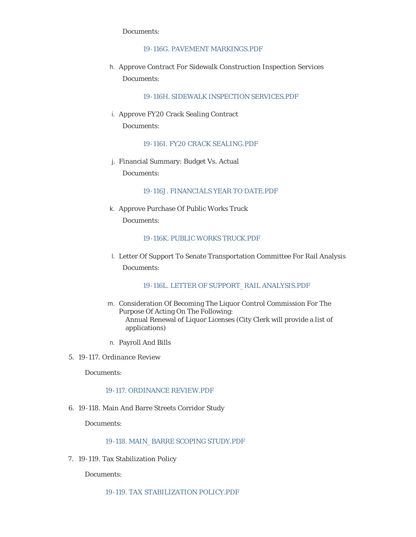Documents:

## [19-116G. PAVEMENT MARKINGS.PDF](https://www.montpelier-vt.org/AgendaCenter/ViewFile/Item/1384?fileID=10226)

h. Approve Contract For Sidewalk Construction Inspection Services Documents:

[19-116H. SIDEWALK INSPECTION SERVICES.PDF](https://www.montpelier-vt.org/AgendaCenter/ViewFile/Item/1389?fileID=10222)

i. Approve FY20 Crack Sealing Contract Documents:

[19-116I. FY20 CRACK SEALING.PDF](https://www.montpelier-vt.org/AgendaCenter/ViewFile/Item/1388?fileID=10218)

Financial Summary: Budget Vs. Actual j. Documents:

[19-116J. FINANCIALS YEAR TO DATE.PDF](https://www.montpelier-vt.org/AgendaCenter/ViewFile/Item/1370?fileID=10214)

k. Approve Purchase Of Public Works Truck Documents:

[19-116K. PUBLIC WORKS TRUCK.PDF](https://www.montpelier-vt.org/AgendaCenter/ViewFile/Item/1392?fileID=10228)

Letter Of Support To Senate Transportation Committee For Rail Analysis l. Documents:

[19-116L. LETTER OF SUPPORT\\_RAIL ANALYSIS.PDF](https://www.montpelier-vt.org/AgendaCenter/ViewFile/Item/1391?fileID=10230)

- m. Consideration Of Becoming The Liquor Control Commission For The Purpose Of Acting On The Following: Annual Renewal of Liquor Licenses (City Clerk will provide a list of applications)
- Payroll And Bills n.
- 19-117. Ordinance Review 5.

Documents:

#### [19-117. ORDINANCE REVIEW.PDF](https://www.montpelier-vt.org/AgendaCenter/ViewFile/Item/1375?fileID=10246)

19-118. Main And Barre Streets Corridor Study 6.

Documents:

### [19-118. MAIN\\_BARRE SCOPING STUDY.PDF](https://www.montpelier-vt.org/AgendaCenter/ViewFile/Item/1372?fileID=10223)

7. 19-119. Tax Stabilization Policy

Documents:

[19-119. TAX STABILIZATION POLICY.PDF](https://www.montpelier-vt.org/AgendaCenter/ViewFile/Item/1373?fileID=10225)